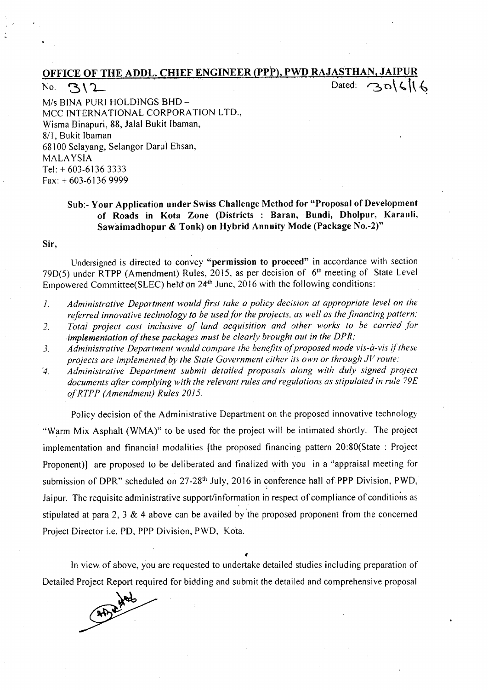## OFFICE OF THE ADDLe CHIEF ENGINEER (PPP), PWD RAJASTHAN, JAIPUR No. '3\'L' ., .. - D~ted: ri"D\~h ~

*Mis* BINA PURl HOLDINGS BHD-MCC INTERNATIONAL CORPORATION LTD., Wisma Binapuri, 88, Jalal Bukit Ibaman, 8/1, Bukit Ibaman 68100 Selayang, Selangor Darul Ehsan, MALAYSIA Tel: + 603-6136 3333 Fax: + 603-6136 9999

## Sub:- Your Application under Swiss Challenge Method for "Proposal of Development of Roads in Kota Zone (Districts : Baran, Bundi, Dholpur, Karauli, Sawaimadhopur & Tonk) on Hybrid Annuity Mode (Package No.-2)"

Sir,

Undersigned is directed to convey "permission to proceed" in accordance with section 79 $D(5)$  under RTPP (Amendment) Rules, 2015, as per decision of  $6<sup>th</sup>$  meeting of State Level Empowered Committee(SLEC) held on 24<sup>th</sup> June, 2016 with the following conditions:

- *1. Administrative Department would first take a policy decision at appropriate level on the referred innovative technology to be used/or the projects, as well as thefinancing pattern:*
- *2. Total project cost inclusive of land acquisition and other works to be carried for implementation of these packages must be clearly brought out in the DPR:*
- *3. Administrative Department would compare the benefits of proposed mode vis-a-vis if these projects are implemented by the State Government either its own or through JV route:*

*'4. Administrative Department submit detailed proposals along with duly signed project documents after complying with the relevant rules and regulations as stipulated in rule 79£ of RTPP (Amendment) Rules 2015.*

Policy decision of the Administrative Department on the proposed innovative technology "Warm Mix Asphalt (WMA)" to be used for the project will be intimated shortly. The project implementation and financial modalities [the proposed financing pattern 20:80(State : Project Proponent)] are proposed to be deliberated and finalized with you in a "appraisal meeting for submission of DPR" scheduled on 27-28<sup>th</sup> July, 2016 in conference hall of PPP Division, PWD, Jaipur. The requisite administrative support/information in respect of compliance of conditions as stipulated at para 2, 3  $\&$  4 above can be availed by the proposed proponent from the concerned Project Director i.e. PO, PPP Division, PWD, Kota.

In view of above, you are requested to undertake detailed studies including preparation of Detailed Project Report required for bidding and submit the detailed and comprehensive proposal

f